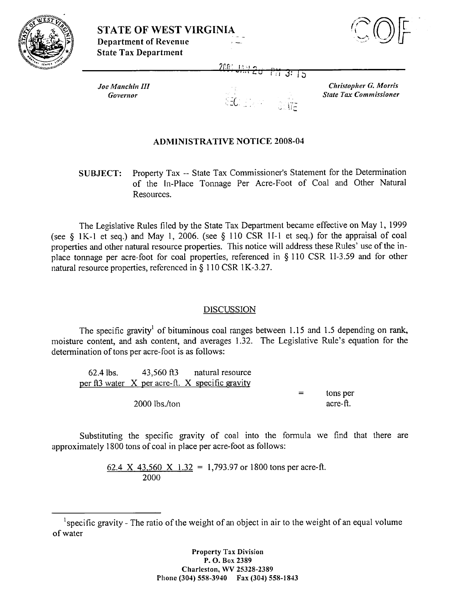



200 °

 $Joe$  *Manchin III Covertlor* 

उन्नड

*Christopher G. Morris State Tax Commissioner* 

## ADMINISTRATIVE NOTICE 2008-04

SUBJECT: Property Tax -- State Tau Commissioner's Statement for the Determination of the In-Place Tonnage Per Acre-Foot of Coal and Other Natural Resources.

The Legislative Rules filed by the State Tax Department became effective on May 1, 1999 (see \$ 1 K- 1 et seq.) and May 1, 2006. (see *5* 1 10 CSR 1 I- 1 et seq.) for the appraisal of coal properties and other natural resource properties. This notice will address these Rules' use of the inplace tonnage per acre-foot for coal properties, referenced in \$ 110 CSR 11-3.59 and for other natural resource properties, referenced in § 110 CSR 1K-3.27.

## DISCUSSION

The specific gravity<sup>1</sup> of bituminous coal ranges between 1.15 and 1.5 depending on rank, moisture content, and ash content, and averages 1.32. The Legislative Rule's equation for the determination of tons per acre-foot is as follows:

62.4 lbs. 43,560 ft3 natural resource per ft3 water  $X$  per acre-ft.  $X$  specific gravity  $=$  tons per 2000 lbs./ton acre-ft.

Substituting the specific gravity of coal into the formula we find that there are approximately 1800 tons of coal in place per acre-foot as follows:

> 62.4 X 43,560 X 1.32 = 1,793.97 or 1800 tons per acre-ft. 2000

**Property Tax Division P. 0. Box** <sup>2389</sup> **Charleston,** WV 25328-2389 **Phone** (304) 558-3910 **Fax** (304) 558-1 843

 $<sup>1</sup>$ specific gravity - The ratio of the weight of an object in air to the weight of an equal volume</sup> of water